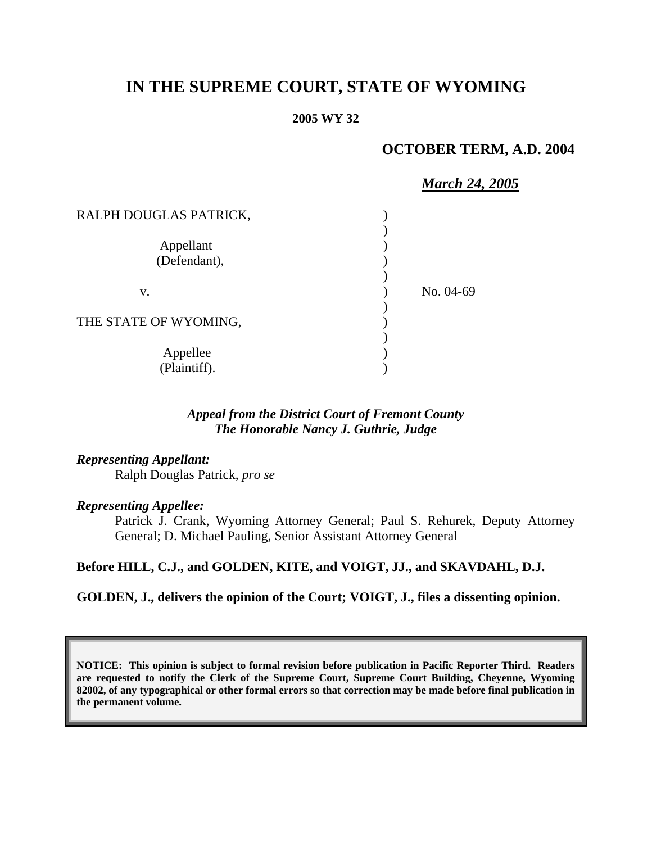# **IN THE SUPREME COURT, STATE OF WYOMING**

#### **2005 WY 32**

# **OCTOBER TERM, A.D. 2004**

# *March 24, 2005*

| RALPH DOUGLAS PATRICK,    |           |
|---------------------------|-----------|
| Appellant<br>(Defendant), |           |
| V.                        | No. 04-69 |
| THE STATE OF WYOMING,     |           |
| Appellee<br>(Plaintiff).  |           |

### *Appeal from the District Court of Fremont County The Honorable Nancy J. Guthrie, Judge*

## *Representing Appellant:*

Ralph Douglas Patrick, *pro se* 

#### *Representing Appellee:*

Patrick J. Crank, Wyoming Attorney General; Paul S. Rehurek, Deputy Attorney General; D. Michael Pauling, Senior Assistant Attorney General

#### **Before HILL, C.J., and GOLDEN, KITE, and VOIGT, JJ., and SKAVDAHL, D.J.**

#### **GOLDEN, J., delivers the opinion of the Court; VOIGT, J., files a dissenting opinion.**

**NOTICE: This opinion is subject to formal revision before publication in Pacific Reporter Third. Readers are requested to notify the Clerk of the Supreme Court, Supreme Court Building, Cheyenne, Wyoming 82002, of any typographical or other formal errors so that correction may be made before final publication in the permanent volume.**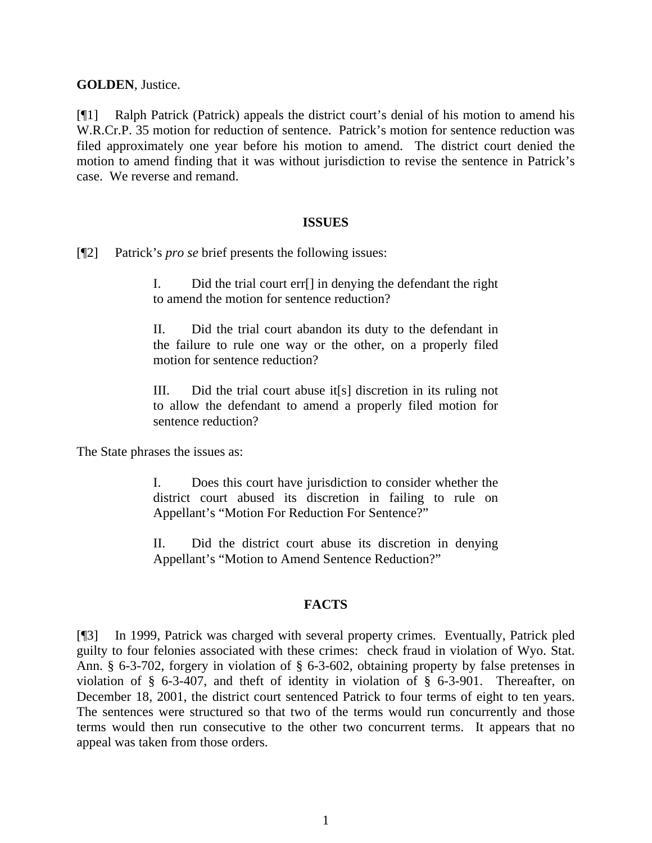**GOLDEN**, Justice.

[¶1] Ralph Patrick (Patrick) appeals the district court's denial of his motion to amend his W.R.Cr.P. 35 motion for reduction of sentence. Patrick's motion for sentence reduction was filed approximately one year before his motion to amend. The district court denied the motion to amend finding that it was without jurisdiction to revise the sentence in Patrick's case. We reverse and remand.

#### **ISSUES**

[¶2] Patrick's *pro se* brief presents the following issues:

I. Did the trial court err[] in denying the defendant the right to amend the motion for sentence reduction?

II. Did the trial court abandon its duty to the defendant in the failure to rule one way or the other, on a properly filed motion for sentence reduction?

III. Did the trial court abuse it[s] discretion in its ruling not to allow the defendant to amend a properly filed motion for sentence reduction?

The State phrases the issues as:

I. Does this court have jurisdiction to consider whether the district court abused its discretion in failing to rule on Appellant's "Motion For Reduction For Sentence?"

II. Did the district court abuse its discretion in denying Appellant's "Motion to Amend Sentence Reduction?"

# **FACTS**

[¶3] In 1999, Patrick was charged with several property crimes. Eventually, Patrick pled guilty to four felonies associated with these crimes: check fraud in violation of Wyo. Stat. Ann. § 6-3-702, forgery in violation of § 6-3-602, obtaining property by false pretenses in violation of § 6-3-407, and theft of identity in violation of § 6-3-901. Thereafter, on December 18, 2001, the district court sentenced Patrick to four terms of eight to ten years. The sentences were structured so that two of the terms would run concurrently and those terms would then run consecutive to the other two concurrent terms. It appears that no appeal was taken from those orders.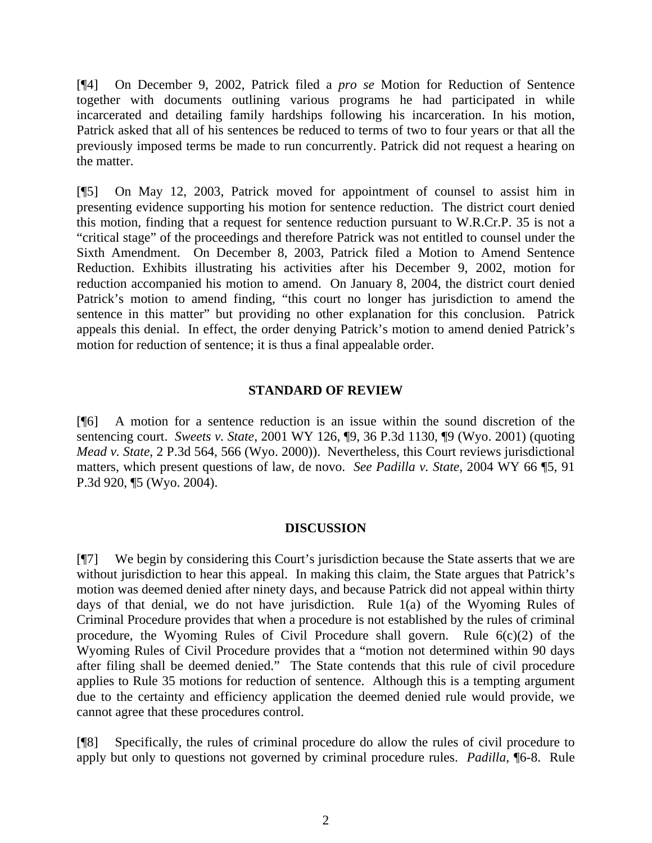[¶4] On December 9, 2002, Patrick filed a *pro se* Motion for Reduction of Sentence together with documents outlining various programs he had participated in while incarcerated and detailing family hardships following his incarceration. In his motion, Patrick asked that all of his sentences be reduced to terms of two to four years or that all the previously imposed terms be made to run concurrently. Patrick did not request a hearing on the matter.

[¶5] On May 12, 2003, Patrick moved for appointment of counsel to assist him in presenting evidence supporting his motion for sentence reduction. The district court denied this motion, finding that a request for sentence reduction pursuant to W.R.Cr.P. 35 is not a "critical stage" of the proceedings and therefore Patrick was not entitled to counsel under the Sixth Amendment. On December 8, 2003, Patrick filed a Motion to Amend Sentence Reduction. Exhibits illustrating his activities after his December 9, 2002, motion for reduction accompanied his motion to amend. On January 8, 2004, the district court denied Patrick's motion to amend finding, "this court no longer has jurisdiction to amend the sentence in this matter" but providing no other explanation for this conclusion. Patrick appeals this denial. In effect, the order denying Patrick's motion to amend denied Patrick's motion for reduction of sentence; it is thus a final appealable order.

### **STANDARD OF REVIEW**

[¶6] A motion for a sentence reduction is an issue within the sound discretion of the sentencing court. *Sweets v. State*, 2001 WY 126, ¶9, 36 P.3d 1130, ¶9 (Wyo. 2001) (quoting *Mead v. State*, 2 P.3d 564, 566 (Wyo. 2000)). Nevertheless, this Court reviews jurisdictional matters, which present questions of law, de novo. *See Padilla v. State*, 2004 WY 66 ¶5, 91 P.3d 920, ¶5 (Wyo. 2004).

#### **DISCUSSION**

[¶7] We begin by considering this Court's jurisdiction because the State asserts that we are without jurisdiction to hear this appeal. In making this claim, the State argues that Patrick's motion was deemed denied after ninety days, and because Patrick did not appeal within thirty days of that denial, we do not have jurisdiction. Rule 1(a) of the Wyoming Rules of Criminal Procedure provides that when a procedure is not established by the rules of criminal procedure, the Wyoming Rules of Civil Procedure shall govern. Rule  $6(c)(2)$  of the Wyoming Rules of Civil Procedure provides that a "motion not determined within 90 days after filing shall be deemed denied." The State contends that this rule of civil procedure applies to Rule 35 motions for reduction of sentence. Although this is a tempting argument due to the certainty and efficiency application the deemed denied rule would provide, we cannot agree that these procedures control.

[¶8] Specifically, the rules of criminal procedure do allow the rules of civil procedure to apply but only to questions not governed by criminal procedure rules. *Padilla*, ¶6-8. Rule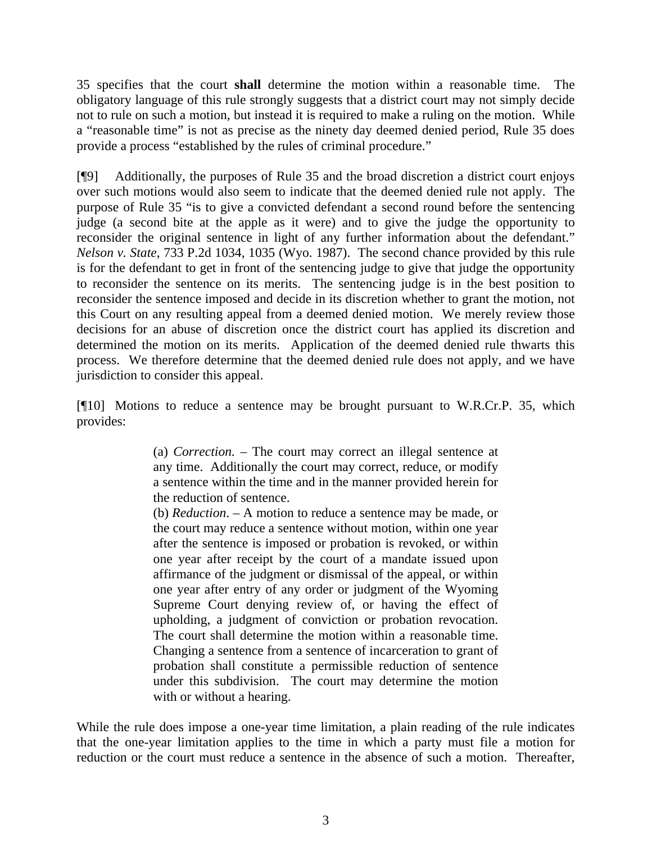35 specifies that the court **shall** determine the motion within a reasonable time. The obligatory language of this rule strongly suggests that a district court may not simply decide not to rule on such a motion, but instead it is required to make a ruling on the motion. While a "reasonable time" is not as precise as the ninety day deemed denied period, Rule 35 does provide a process "established by the rules of criminal procedure."

[¶9] Additionally, the purposes of Rule 35 and the broad discretion a district court enjoys over such motions would also seem to indicate that the deemed denied rule not apply. The purpose of Rule 35 "is to give a convicted defendant a second round before the sentencing judge (a second bite at the apple as it were) and to give the judge the opportunity to reconsider the original sentence in light of any further information about the defendant." *Nelson v. State*, 733 P.2d 1034, 1035 (Wyo. 1987). The second chance provided by this rule is for the defendant to get in front of the sentencing judge to give that judge the opportunity to reconsider the sentence on its merits. The sentencing judge is in the best position to reconsider the sentence imposed and decide in its discretion whether to grant the motion, not this Court on any resulting appeal from a deemed denied motion. We merely review those decisions for an abuse of discretion once the district court has applied its discretion and determined the motion on its merits. Application of the deemed denied rule thwarts this process. We therefore determine that the deemed denied rule does not apply, and we have jurisdiction to consider this appeal.

[¶10] Motions to reduce a sentence may be brought pursuant to W.R.Cr.P. 35, which provides:

> (a) *Correction.* – The court may correct an illegal sentence at any time. Additionally the court may correct, reduce, or modify a sentence within the time and in the manner provided herein for the reduction of sentence.

> (b) *Reduction*. – A motion to reduce a sentence may be made, or the court may reduce a sentence without motion, within one year after the sentence is imposed or probation is revoked, or within one year after receipt by the court of a mandate issued upon affirmance of the judgment or dismissal of the appeal, or within one year after entry of any order or judgment of the Wyoming Supreme Court denying review of, or having the effect of upholding, a judgment of conviction or probation revocation. The court shall determine the motion within a reasonable time. Changing a sentence from a sentence of incarceration to grant of probation shall constitute a permissible reduction of sentence under this subdivision. The court may determine the motion with or without a hearing.

While the rule does impose a one-year time limitation, a plain reading of the rule indicates that the one-year limitation applies to the time in which a party must file a motion for reduction or the court must reduce a sentence in the absence of such a motion. Thereafter,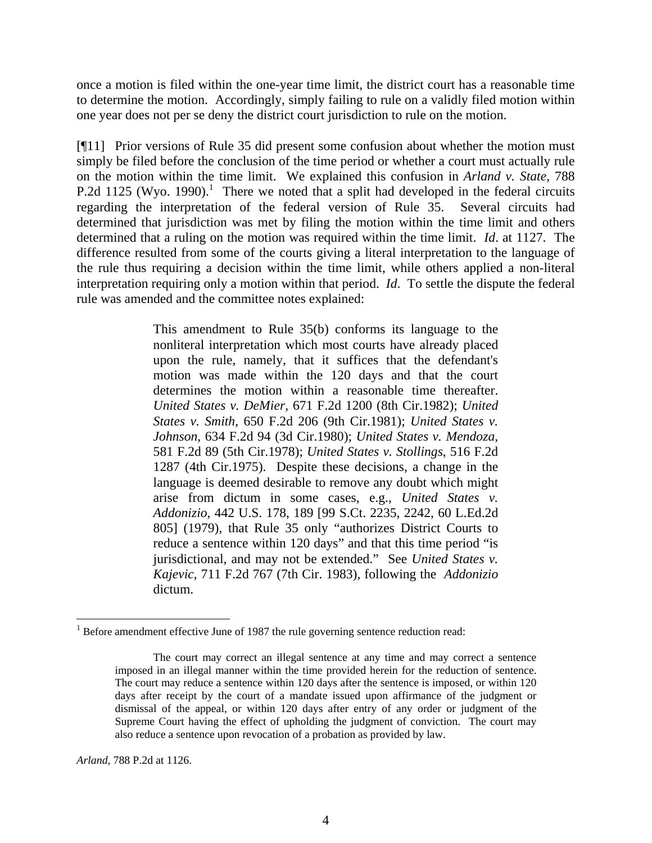once a motion is filed within the one-year time limit, the district court has a reasonable time to determine the motion. Accordingly, simply failing to rule on a validly filed motion within one year does not per se deny the district court jurisdiction to rule on the motion.

[¶11] Prior versions of Rule 35 did present some confusion about whether the motion must simply be filed before the conclusion of the time period or whether a court must actually rule on the motion within the time limit. We explained this confusion in *Arland v. State*, 788 P.2d 1125 (Wyo. 1990).<sup>1</sup> There we noted that a split had developed in the federal circuits regarding the interpretation of the federal version of Rule 35. Several circuits had determined that jurisdiction was met by filing the motion within the time limit and others determined that a ruling on the motion was required within the time limit. *Id*. at 1127. The difference resulted from some of the courts giving a literal interpretation to the language of the rule thus requiring a decision within the time limit, while others applied a non-literal interpretation requiring only a motion within that period. *Id*. To settle the dispute the federal rule was amended and the committee notes explained:

> This amendment to Rule 35(b) conforms its language to the nonliteral interpretation which most courts have already placed upon the rule, namely, that it suffices that the defendant's motion was made within the 120 days and that the court determines the motion within a reasonable time thereafter. *United States v. DeMier*, 671 F.2d 1200 (8th Cir.1982); *United States v. Smith*, 650 F.2d 206 (9th Cir.1981); *United States v. Johnson*, 634 F.2d 94 (3d Cir.1980); *United States v. Mendoza*, 581 F.2d 89 (5th Cir.1978); *United States v. Stollings*, 516 F.2d 1287 (4th Cir.1975). Despite these decisions, a change in the language is deemed desirable to remove any doubt which might arise from dictum in some cases, e.g., *United States v. Addonizio*, 442 U.S. 178, 189 [99 S.Ct. 2235, 2242, 60 L.Ed.2d 805] (1979), that Rule 35 only "authorizes District Courts to reduce a sentence within 120 days" and that this time period "is jurisdictional, and may not be extended." See *United States v. Kajevic*, 711 F.2d 767 (7th Cir. 1983), following the *Addonizio* dictum.

*Arland,* 788 P.2d at 1126.

 $1$  Before amendment effective June of 1987 the rule governing sentence reduction read:

The court may correct an illegal sentence at any time and may correct a sentence imposed in an illegal manner within the time provided herein for the reduction of sentence. The court may reduce a sentence within 120 days after the sentence is imposed, or within 120 days after receipt by the court of a mandate issued upon affirmance of the judgment or dismissal of the appeal, or within 120 days after entry of any order or judgment of the Supreme Court having the effect of upholding the judgment of conviction. The court may also reduce a sentence upon revocation of a probation as provided by law.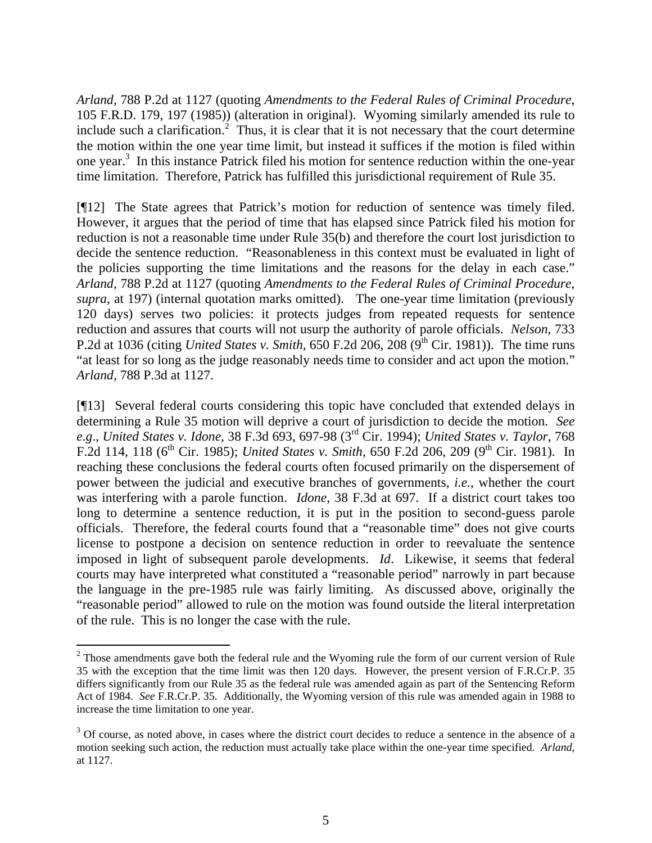*Arland,* 788 P.2d at 1127 (quoting *Amendments to the Federal Rules of Criminal Procedure*, 105 F.R.D. 179, 197 (1985)) (alteration in original). Wyoming similarly amended its rule to include such a clarification.<sup>2</sup> Thus, it is clear that it is not necessary that the court determine the motion within the one year time limit, but instead it suffices if the motion is filed within one year.<sup>3</sup> In this instance Patrick filed his motion for sentence reduction within the one-year time limitation. Therefore, Patrick has fulfilled this jurisdictional requirement of Rule 35.

[¶12] The State agrees that Patrick's motion for reduction of sentence was timely filed. However, it argues that the period of time that has elapsed since Patrick filed his motion for reduction is not a reasonable time under Rule 35(b) and therefore the court lost jurisdiction to decide the sentence reduction. "Reasonableness in this context must be evaluated in light of the policies supporting the time limitations and the reasons for the delay in each case." *Arland*, 788 P.2d at 1127 (quoting *Amendments to the Federal Rules of Criminal Procedure*, *supra*, at 197) (internal quotation marks omitted). The one-year time limitation (previously 120 days) serves two policies: it protects judges from repeated requests for sentence reduction and assures that courts will not usurp the authority of parole officials. *Nelson*, 733 P.2d at 1036 (citing *United States v. Smith*,  $650$  F.2d 206,  $208$  ( $9^{th}$  Cir. 1981)). The time runs "at least for so long as the judge reasonably needs time to consider and act upon the motion." *Arland*, 788 P.3d at 1127.

[¶13] Several federal courts considering this topic have concluded that extended delays in determining a Rule 35 motion will deprive a court of jurisdiction to decide the motion. *See e.g*., *United States v. Idone*, 38 F.3d 693, 697-98 (3rd Cir. 1994); *United States v. Taylor*, 768 F.2d 114, 118 (6th Cir. 1985); *United States v. Smith*, 650 F.2d 206, 209 (9th Cir. 1981). In reaching these conclusions the federal courts often focused primarily on the dispersement of power between the judicial and executive branches of governments, *i.e.*, whether the court was interfering with a parole function. *Idone*, 38 F.3d at 697. If a district court takes too long to determine a sentence reduction, it is put in the position to second-guess parole officials. Therefore, the federal courts found that a "reasonable time" does not give courts license to postpone a decision on sentence reduction in order to reevaluate the sentence imposed in light of subsequent parole developments. *Id*. Likewise, it seems that federal courts may have interpreted what constituted a "reasonable period" narrowly in part because the language in the pre-1985 rule was fairly limiting. As discussed above, originally the "reasonable period" allowed to rule on the motion was found outside the literal interpretation of the rule. This is no longer the case with the rule.

 $2<sup>2</sup>$  Those amendments gave both the federal rule and the Wyoming rule the form of our current version of Rule 35 with the exception that the time limit was then 120 days. However, the present version of F.R.Cr.P. 35 differs significantly from our Rule 35 as the federal rule was amended again as part of the Sentencing Reform Act of 1984. *See* F.R.Cr.P. 35. Additionally, the Wyoming version of this rule was amended again in 1988 to increase the time limitation to one year.

<sup>&</sup>lt;sup>3</sup> Of course, as noted above, in cases where the district court decides to reduce a sentence in the absence of a motion seeking such action, the reduction must actually take place within the one-year time specified. *Arland,*  at 1127.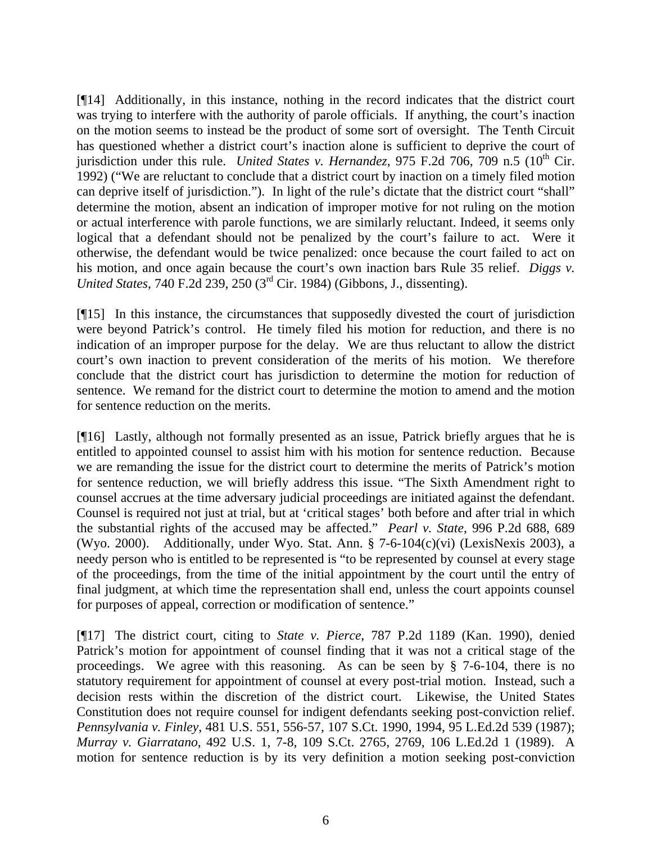[¶14] Additionally, in this instance, nothing in the record indicates that the district court was trying to interfere with the authority of parole officials. If anything, the court's inaction on the motion seems to instead be the product of some sort of oversight. The Tenth Circuit has questioned whether a district court's inaction alone is sufficient to deprive the court of jurisdiction under this rule. *United States v. Hernandez*, 975 F.2d 706, 709 n.5  $(10<sup>th</sup>$  Cir. 1992) ("We are reluctant to conclude that a district court by inaction on a timely filed motion can deprive itself of jurisdiction."). In light of the rule's dictate that the district court "shall" determine the motion, absent an indication of improper motive for not ruling on the motion or actual interference with parole functions, we are similarly reluctant. Indeed, it seems only logical that a defendant should not be penalized by the court's failure to act. Were it otherwise, the defendant would be twice penalized: once because the court failed to act on his motion, and once again because the court's own inaction bars Rule 35 relief. *Diggs v. United States*, 740 F.2d 239, 250 (3rd Cir. 1984) (Gibbons, J., dissenting).

[¶15] In this instance, the circumstances that supposedly divested the court of jurisdiction were beyond Patrick's control. He timely filed his motion for reduction, and there is no indication of an improper purpose for the delay. We are thus reluctant to allow the district court's own inaction to prevent consideration of the merits of his motion. We therefore conclude that the district court has jurisdiction to determine the motion for reduction of sentence. We remand for the district court to determine the motion to amend and the motion for sentence reduction on the merits.

[¶16] Lastly, although not formally presented as an issue, Patrick briefly argues that he is entitled to appointed counsel to assist him with his motion for sentence reduction. Because we are remanding the issue for the district court to determine the merits of Patrick's motion for sentence reduction, we will briefly address this issue. "The Sixth Amendment right to counsel accrues at the time adversary judicial proceedings are initiated against the defendant. Counsel is required not just at trial, but at 'critical stages' both before and after trial in which the substantial rights of the accused may be affected." *Pearl v. State*, 996 P.2d 688, 689 (Wyo. 2000). Additionally, under Wyo. Stat. Ann. § 7-6-104 $(c)$ (vi) (LexisNexis 2003), a needy person who is entitled to be represented is "to be represented by counsel at every stage of the proceedings, from the time of the initial appointment by the court until the entry of final judgment, at which time the representation shall end, unless the court appoints counsel for purposes of appeal, correction or modification of sentence."

[¶17] The district court, citing to *State v. Pierce*, 787 P.2d 1189 (Kan. 1990), denied Patrick's motion for appointment of counsel finding that it was not a critical stage of the proceedings. We agree with this reasoning. As can be seen by § 7-6-104, there is no statutory requirement for appointment of counsel at every post-trial motion. Instead, such a decision rests within the discretion of the district court. Likewise, the United States Constitution does not require counsel for indigent defendants seeking post-conviction relief. *Pennsylvania v. Finley*, 481 U.S. 551, 556-57, 107 S.Ct. 1990, 1994, 95 L.Ed.2d 539 (1987); *Murray v. Giarratano*, 492 U.S. 1, 7-8, 109 S.Ct. 2765, 2769, 106 L.Ed.2d 1 (1989). A motion for sentence reduction is by its very definition a motion seeking post-conviction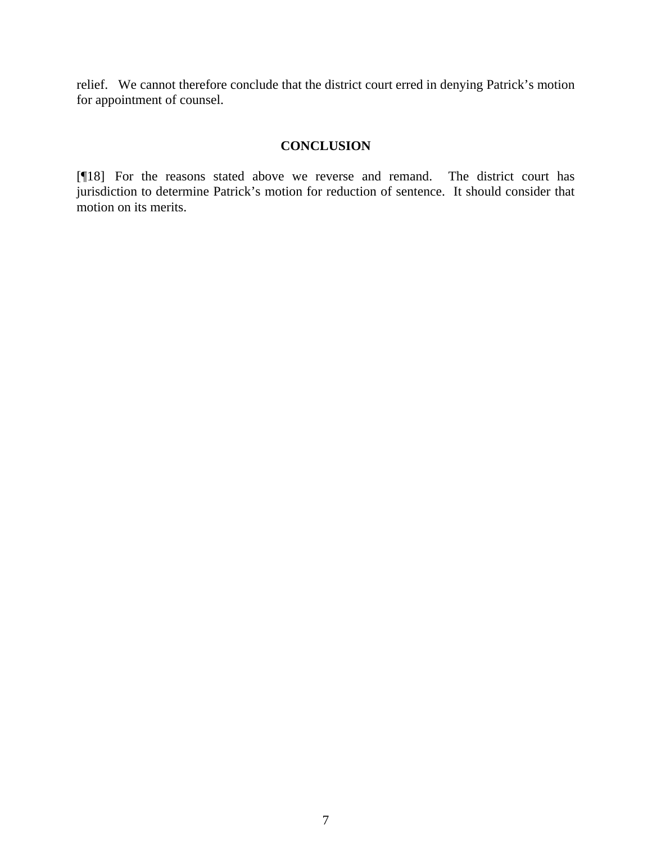relief. We cannot therefore conclude that the district court erred in denying Patrick's motion for appointment of counsel.

# **CONCLUSION**

[¶18] For the reasons stated above we reverse and remand. The district court has jurisdiction to determine Patrick's motion for reduction of sentence. It should consider that motion on its merits.